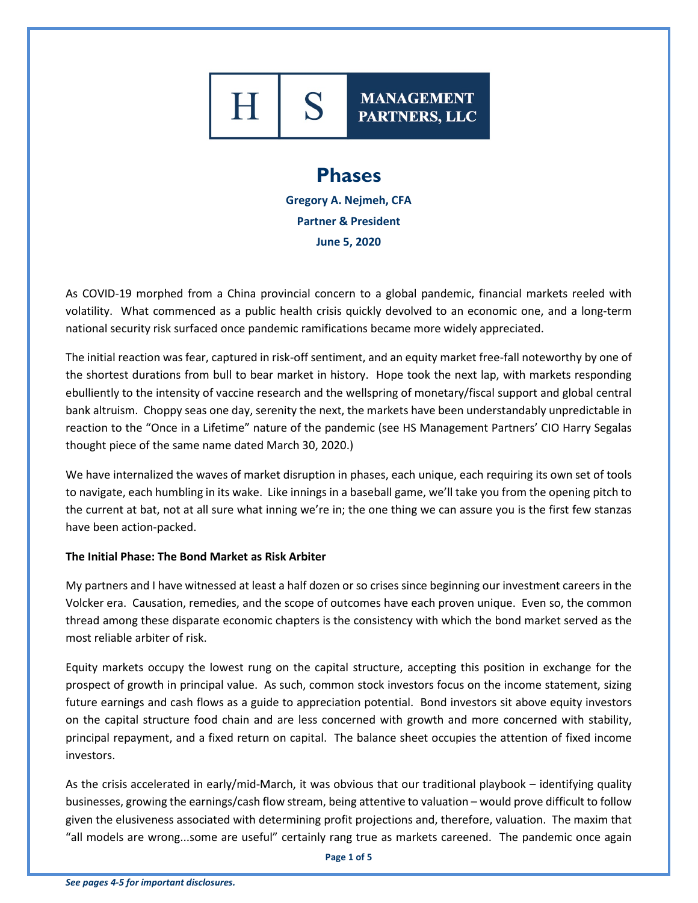# S **MANAGEMENT** PARTNERS, LLC

## **Phases**

**Gregory A. Nejmeh, CFA Partner & President June 5, 2020**

As COVID-19 morphed from a China provincial concern to a global pandemic, financial markets reeled with volatility. What commenced as a public health crisis quickly devolved to an economic one, and a long-term national security risk surfaced once pandemic ramifications became more widely appreciated.

The initial reaction was fear, captured in risk-off sentiment, and an equity market free-fall noteworthy by one of the shortest durations from bull to bear market in history. Hope took the next lap, with markets responding ebulliently to the intensity of vaccine research and the wellspring of monetary/fiscal support and global central bank altruism. Choppy seas one day, serenity the next, the markets have been understandably unpredictable in reaction to the "Once in a Lifetime" nature of the pandemic (see HS Management Partners' CIO Harry Segalas thought piece of the same name dated March 30, 2020.)

We have internalized the waves of market disruption in phases, each unique, each requiring its own set of tools to navigate, each humbling in its wake. Like innings in a baseball game, we'll take you from the opening pitch to the current at bat, not at all sure what inning we're in; the one thing we can assure you is the first few stanzas have been action-packed.

### **The Initial Phase: The Bond Market as Risk Arbiter**

My partners and I have witnessed at least a half dozen or so crises since beginning our investment careers in the Volcker era. Causation, remedies, and the scope of outcomes have each proven unique. Even so, the common thread among these disparate economic chapters is the consistency with which the bond market served as the most reliable arbiter of risk.

Equity markets occupy the lowest rung on the capital structure, accepting this position in exchange for the prospect of growth in principal value. As such, common stock investors focus on the income statement, sizing future earnings and cash flows as a guide to appreciation potential. Bond investors sit above equity investors on the capital structure food chain and are less concerned with growth and more concerned with stability, principal repayment, and a fixed return on capital. The balance sheet occupies the attention of fixed income investors.

As the crisis accelerated in early/mid-March, it was obvious that our traditional playbook – identifying quality businesses, growing the earnings/cash flow stream, being attentive to valuation – would prove difficult to follow given the elusiveness associated with determining profit projections and, therefore, valuation. The maxim that "all models are wrong...some are useful" certainly rang true as markets careened. The pandemic once again

**Page 1 of 5**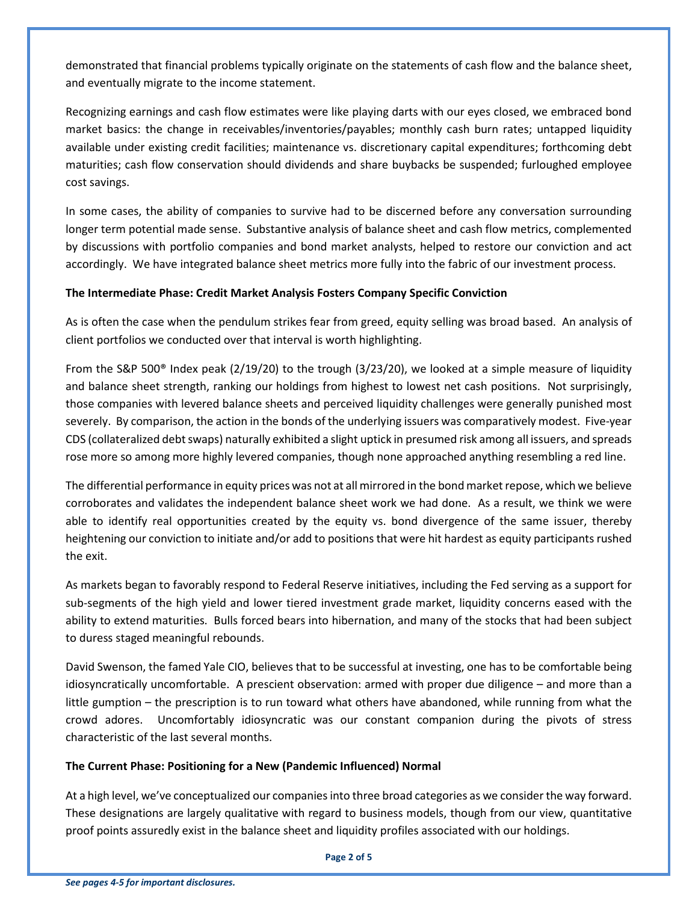demonstrated that financial problems typically originate on the statements of cash flow and the balance sheet, and eventually migrate to the income statement.

Recognizing earnings and cash flow estimates were like playing darts with our eyes closed, we embraced bond market basics: the change in receivables/inventories/payables; monthly cash burn rates; untapped liquidity available under existing credit facilities; maintenance vs. discretionary capital expenditures; forthcoming debt maturities; cash flow conservation should dividends and share buybacks be suspended; furloughed employee cost savings.

In some cases, the ability of companies to survive had to be discerned before any conversation surrounding longer term potential made sense. Substantive analysis of balance sheet and cash flow metrics, complemented by discussions with portfolio companies and bond market analysts, helped to restore our conviction and act accordingly. We have integrated balance sheet metrics more fully into the fabric of our investment process.

### **The Intermediate Phase: Credit Market Analysis Fosters Company Specific Conviction**

As is often the case when the pendulum strikes fear from greed, equity selling was broad based. An analysis of client portfolios we conducted over that interval is worth highlighting.

From the S&P 500® Index peak (2/19/20) to the trough (3/23/20), we looked at a simple measure of liquidity and balance sheet strength, ranking our holdings from highest to lowest net cash positions. Not surprisingly, those companies with levered balance sheets and perceived liquidity challenges were generally punished most severely. By comparison, the action in the bonds of the underlying issuers was comparatively modest. Five-year CDS (collateralized debt swaps) naturally exhibited a slight uptick in presumed risk among all issuers, and spreads rose more so among more highly levered companies, though none approached anything resembling a red line.

The differential performance in equity prices was not at all mirrored in the bond market repose, which we believe corroborates and validates the independent balance sheet work we had done. As a result, we think we were able to identify real opportunities created by the equity vs. bond divergence of the same issuer, thereby heightening our conviction to initiate and/or add to positions that were hit hardest as equity participants rushed the exit.

As markets began to favorably respond to Federal Reserve initiatives, including the Fed serving as a support for sub-segments of the high yield and lower tiered investment grade market, liquidity concerns eased with the ability to extend maturities. Bulls forced bears into hibernation, and many of the stocks that had been subject to duress staged meaningful rebounds.

David Swenson, the famed Yale CIO, believes that to be successful at investing, one has to be comfortable being idiosyncratically uncomfortable. A prescient observation: armed with proper due diligence – and more than a little gumption – the prescription is to run toward what others have abandoned, while running from what the crowd adores. Uncomfortably idiosyncratic was our constant companion during the pivots of stress characteristic of the last several months.

### **The Current Phase: Positioning for a New (Pandemic Influenced) Normal**

At a high level, we've conceptualized our companies into three broad categories as we consider the way forward. These designations are largely qualitative with regard to business models, though from our view, quantitative proof points assuredly exist in the balance sheet and liquidity profiles associated with our holdings.

#### **Page 2 of 5**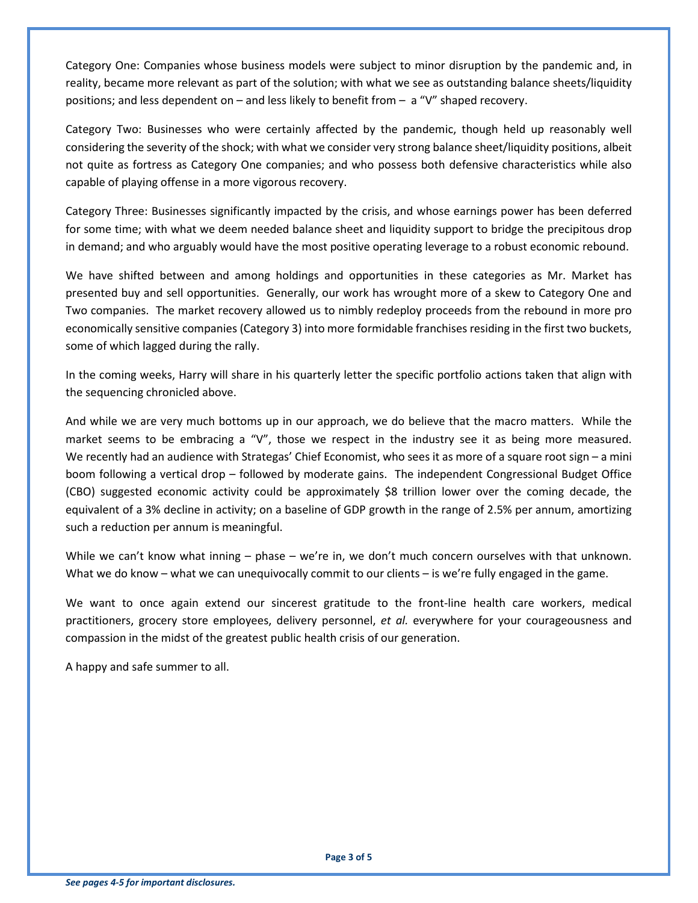Category One: Companies whose business models were subject to minor disruption by the pandemic and, in reality, became more relevant as part of the solution; with what we see as outstanding balance sheets/liquidity positions; and less dependent on – and less likely to benefit from – a "V" shaped recovery.

Category Two: Businesses who were certainly affected by the pandemic, though held up reasonably well considering the severity of the shock; with what we consider very strong balance sheet/liquidity positions, albeit not quite as fortress as Category One companies; and who possess both defensive characteristics while also capable of playing offense in a more vigorous recovery.

Category Three: Businesses significantly impacted by the crisis, and whose earnings power has been deferred for some time; with what we deem needed balance sheet and liquidity support to bridge the precipitous drop in demand; and who arguably would have the most positive operating leverage to a robust economic rebound.

We have shifted between and among holdings and opportunities in these categories as Mr. Market has presented buy and sell opportunities. Generally, our work has wrought more of a skew to Category One and Two companies. The market recovery allowed us to nimbly redeploy proceeds from the rebound in more pro economically sensitive companies (Category 3) into more formidable franchises residing in the first two buckets, some of which lagged during the rally.

In the coming weeks, Harry will share in his quarterly letter the specific portfolio actions taken that align with the sequencing chronicled above.

And while we are very much bottoms up in our approach, we do believe that the macro matters. While the market seems to be embracing a "V", those we respect in the industry see it as being more measured. We recently had an audience with Strategas' Chief Economist, who sees it as more of a square root sign – a mini boom following a vertical drop – followed by moderate gains. The independent Congressional Budget Office (CBO) suggested economic activity could be approximately \$8 trillion lower over the coming decade, the equivalent of a 3% decline in activity; on a baseline of GDP growth in the range of 2.5% per annum, amortizing such a reduction per annum is meaningful.

While we can't know what inning – phase – we're in, we don't much concern ourselves with that unknown. What we do know – what we can unequivocally commit to our clients – is we're fully engaged in the game.

We want to once again extend our sincerest gratitude to the front-line health care workers, medical practitioners, grocery store employees, delivery personnel, *et al.* everywhere for your courageousness and compassion in the midst of the greatest public health crisis of our generation.

A happy and safe summer to all.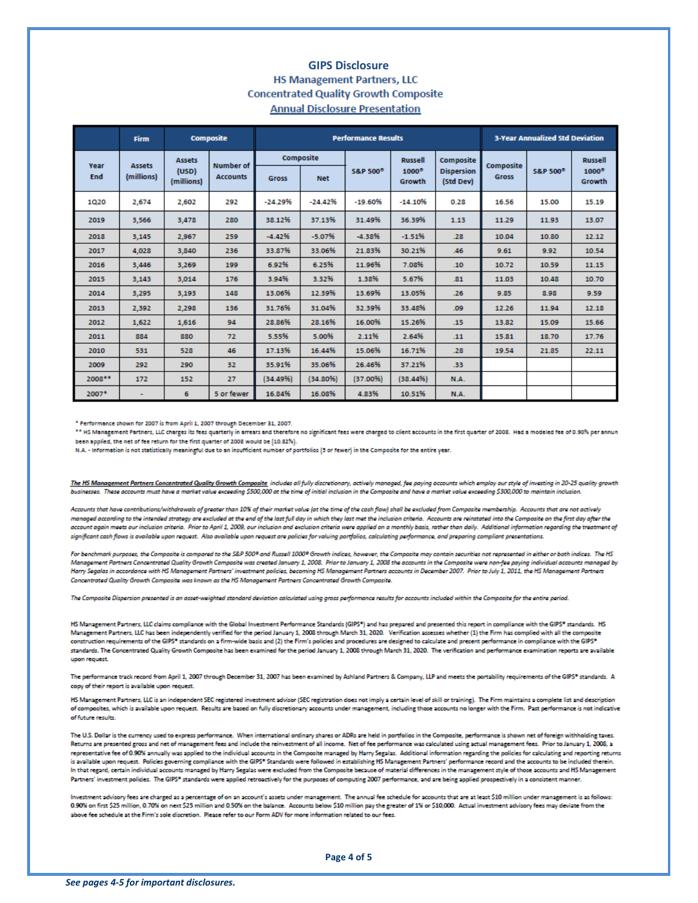#### **GIPS Disclosure HS Management Partners, LLC Concentrated Quality Growth Composite Annual Disclosure Presentation**

|             | Firm                        | <b>Composite</b>                     |                                     | <b>Performance Results</b> |            |                     |                        |                                | <b>3-Year Annualized Std Deviation</b> |                     |                        |
|-------------|-----------------------------|--------------------------------------|-------------------------------------|----------------------------|------------|---------------------|------------------------|--------------------------------|----------------------------------------|---------------------|------------------------|
| Year<br>End | <b>Assets</b><br>(millions) | <b>Assets</b><br>(USD)<br>(millions) | <b>Number</b> of<br><b>Accounts</b> | Composite                  |            |                     | <b>Russell</b>         | Composite                      | Composite                              |                     | <b>Russell</b>         |
|             |                             |                                      |                                     | <b>Gross</b>               | <b>Net</b> | <b>S&amp;P 500°</b> | $1000^\circ$<br>Growth | <b>Dispersion</b><br>(Std Dev) | <b>Gross</b>                           | <b>S&amp;P 500°</b> | $1000^\circ$<br>Growth |
| 1020        | 2,674                       | 2,602                                | 292                                 | $-24.29%$                  | $-24.42%$  | $-19.60%$           | $-14.10%$              | 0.28                           | 16.56                                  | 15.00               | 15.19                  |
| 2019        | 3,566                       | 3,478                                | 280                                 | 38.12%                     | 37.13%     | 31.49%              | 36.39%                 | 1.13                           | 11.29                                  | 11.93               | 13.07                  |
| 2018        | 3.145                       | 2.967                                | 259                                 | $-4.42%$                   | $-5.07%$   | $-4.38%$            | $-1.51%$               | .28                            | 10.04                                  | 10.80               | 12.12                  |
| 2017        | 4,028                       | 3,840                                | 236                                 | 33.87%                     | 33.06%     | 21.83%              | 30.21%                 | A6                             | 9.61                                   | 9.92                | 10.54                  |
| 2016        | 3,446                       | 3,269                                | 199                                 | 6.92%                      | 6.25%      | 11.96%              | 7.08%                  | .10                            | 10.72                                  | 10.59               | 11.15                  |
| 2015        | 3,143                       | 3,014                                | 176                                 | 3.94%                      | 3.32%      | 1.38%               | 5.67%                  | .81                            | 11.03                                  | 10.48               | 10.70                  |
| 2014        | 3,295                       | 3,193                                | 148                                 | 13.06%                     | 12.39%     | 13.69%              | 13.05%                 | .26                            | 9.85                                   | 8.98                | 9.59                   |
| 2013        | 2,392                       | 2,298                                | 136                                 | 31.76%                     | 31.04%     | 32.39%              | 33.48%                 | .09                            | 12.26                                  | 11.94               | 12.18                  |
| 2012        | 1,622                       | 1,616                                | 94                                  | 28.86%                     | 28.16%     | 16.00%              | 15.26%                 | .15                            | 13.82                                  | 15.09               | 15.66                  |
| 2011        | 884                         | 880                                  | 72                                  | 5.55%                      | 5.00%      | 2.11%               | 2.64%                  | .11                            | 15.81                                  | 18.70               | 17.76                  |
| 2010        | 531                         | 528                                  | 46                                  | 17.13%                     | 16.44%     | 15.06%              | 16.71%                 | .28                            | 19.54                                  | 21.85               | 22.11                  |
| 2009        | 292                         | 290                                  | 32                                  | 35.91%                     | 35.06%     | 26.46%              | 37.21%                 | .33                            |                                        |                     |                        |
| 2008**      | 172                         | 152                                  | 27                                  | (34.49%)                   | (34.80%    | (37.00%             | (38.44%)               | N.A.                           |                                        |                     |                        |
| 2007*       | ٠                           | 6                                    | 5 or fewer                          | 16.84%                     | 16.08%     | 4.83%               | 10.51%                 | N.A.                           |                                        |                     |                        |

\* Performance shown for 2007 is from April 1, 2007 through December 31, 2007.

\*\* HS Management Partners, LLC charges its fees quarterly in arrears and therefore no significant fees were charged to client accounts in the first quarter of 2008. Had a modeled fee of 0.90% per annun been applied, the net of fee return for the first quarter of 2008 would be (10.82%).

N.A. - Information is not statistically meaningful due to an insufficient number of portfolios (5 or fewer) in the Composite for the entire year.

The HS Management Partners Concentrated Quality Growth Composite includes all fully discretionary, actively managed, fee paying accounts which employ our style of investing in 20-25 quality growth businesses. These accounts must have a market value exceeding \$500,000 at the time of initial inclusion in the Composite and have a market value exceeding \$300,000 to maintain inclusio

Accounts that have contributions/withdrawals of greater than 10% of their market value (at the time of the cash flow) shall be excluded from Composite membership. Accounts that are not actively mangged according to the intended strategy are excluded at the end of the last full day in which they last met the inclusion criteria. Accounts are reinstated into the Composite on the first day after the account again meets our inclusion criteria. Prior to April 1, 2009, our inclusion and exclusion criteria were applied on a monthly basis, rather than daily. Additional information regarding the treatment of significant cash flows is available upon request. Also available upon request are policies for valuing portfolios, calculating performance, and preparing compliant presentations.

For benchmark purposes, the Composite is compared to the S&P 500\* and Russell 1000\* Growth indices, however, the Composite may contain securities not represented in either or both indices. The HS Management Partners Concentrated Quality Growth Composite was created January 1, 2008. Prior to January 1, 2008 the accounts in the Composite were non-fee paying individual accounts managed by Harry Segalas in accordance with HS Management Partners' investment policies, becoming HS Management Partners accounts in December 2007. Prior to July 1, 2011, the HS Management Partners Concentrated Quality Growth Composite was known as the HS Management Partners Concentrated Growth Composite.

The Composite Dispersion presented is an asset-weighted standard deviation calculated using gross performance results for accounts included within the Composite for the entire period.

HS Management Partners, LLC claims compliance with the Global Investment Performance Standards (GIPS\*) and has prepared and presented this report in compliance with the GIPS\* standards. HS Management Partners, LLC has been independently verified for the period January 1, 2008 through March 31, 2020. Verification assesses whether (1) the Firm has complied with all the composite construction requirements of the GIPS\* standards on a firm-wide basis and (2) the Firm's policies and procedures are designed to calculate and present performance in compliance with the GIPS\* standards. The Concentrated Quality Growth Composite has been examined for the period January 1, 2008 through March 31, 2020. The verification and performance examination reports are available upon request.

The performance track record from April 1, 2007 through December 31, 2007 has been examined by Ashland Partners & Company, LLP and meets the portability requirements of the GIPS\* standards. A copy of their report is available upon request

HS Management Partners, LLC is an independent SEC registered investment advisor (SEC registration does not imply a certain level of skill or training). The Firm maintains a complete list and description of composites, which is available upon request. Results are based on fully discretionary accounts under management, including those accounts no longer with the Firm. Past performance is not indicative of future results.

The U.S. Dollar is the currency used to express performance. When international ordinary shares or ADRs are held in portfolios in the Composite, performance is shown net of foreign withholding taxes. Returns are presented gross and net of management fees and include the reinvestment of all income. Net of fee performance was calculated using actual management fees. Prior to January 1, 2008, a representative fee of 0.90% annually was applied to the individual accounts in the Composite managed by Harry Segalas. Additional information regarding the policies for calculating and reporting returns is available upon request. Policies governing compliance with the GIPS® Standards were followed in establishing HS Management Partners' performance record and the accounts to be included therein. In that regard, certain individual accounts managed by Harry Segalas were excluded from the Composite because of material differences in the management style of those accounts and HS Management Partners' investment policies. The GIPS® standards were applied retroactively for the purposes of computing 2007 performance, and are being applied prospectively in a consistent mar

Investment advisory fees are charged as a percentage of on an account's assets under management. The annual fee schedule for accounts that are at least \$10 million under management is as follows: 0.90% on first \$25 million, 0.70% on next \$25 million and 0.50% on the balance. Accounts below \$10 million pay the greater of 1% or \$10,000. Actual investment advisory fees may deviate from the above fee schedule at the Firm's sole discretion. Please refer to our Form ADV for more information related to our fees.